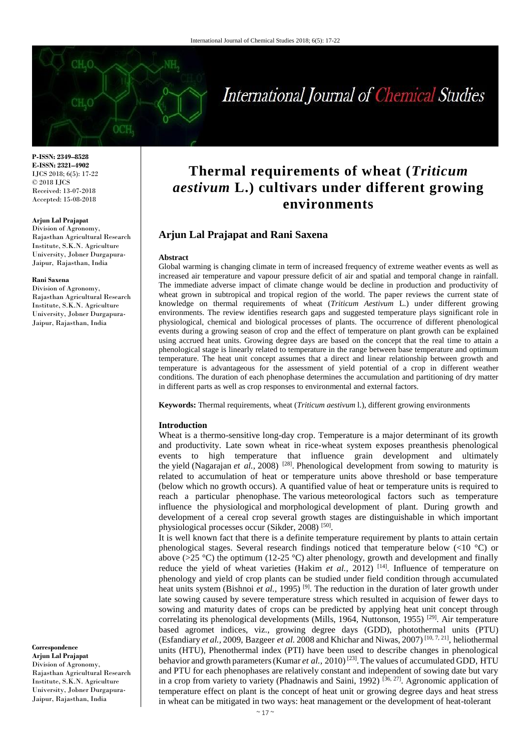# International Journal of Chemical Studies

**P-ISSN: 2349–8528 E-ISSN: 2321–4902** IJCS 2018; 6(5): 17-22 © 2018 IJCS Received: 13-07-2018 Accepted: 15-08-2018

#### **Arjun Lal Prajapat**

Division of Agronomy, Rajasthan Agricultural Research Institute, S.K.N. Agriculture University, Jobner Durgapura-Jaipur, Rajasthan, India

#### **Rani Saxena**

Division of Agronomy, Rajasthan Agricultural Research Institute, S.K.N. Agriculture University, Jobner Durgapura-Jaipur, Rajasthan, India

**Correspondence Arjun Lal Prajapat** Division of Agronomy, Rajasthan Agricultural Research Institute, S.K.N. Agriculture University, Jobner Durgapura-Jaipur, Rajasthan, India

# **Thermal requirements of wheat (***Triticum aestivum* **L.) cultivars under different growing environments**

## **Arjun Lal Prajapat and Rani Saxena**

#### **Abstract**

Global warming is changing climate in term of increased frequency of extreme weather events as well as increased air temperature and vapour pressure deficit of air and spatial and temporal change in rainfall. The immediate adverse impact of climate change would be decline in production and productivity of wheat grown in subtropical and tropical region of the world. The paper reviews the current state of knowledge on thermal requirements of wheat (*Triticum Aestivum* L.) under different growing environments. The review identifies research gaps and suggested temperature plays significant role in physiological, chemical and biological processes of plants. The occurrence of different phenological events during a growing season of crop and the effect of temperature on plant growth can be explained using accrued heat units. Growing degree days are based on the concept that the real time to attain a phenological stage is linearly related to temperature in the range between base temperature and optimum temperature. The heat unit concept assumes that a direct and linear relationship between growth and temperature is advantageous for the assessment of yield potential of a crop in different weather conditions. The duration of each phenophase determines the accumulation and partitioning of dry matter in different parts as well as crop responses to environmental and external factors.

**Keywords:** Thermal requirements, wheat (*Triticum aestivum* l.), different growing environments

#### **Introduction**

Wheat is a thermo-sensitive long-day crop. Temperature is a major determinant of its growth and productivity. Late sown wheat in rice-wheat system exposes preanthesis phenological events to high temperature that influence grain development and ultimately the yield (Nagarajan *et al.*, 2008)<sup>[28]</sup>. Phenological development from sowing to maturity is related to accumulation of heat or temperature units above threshold or base temperature (below which no growth occurs). A quantified value of heat or temperature units is required to reach a particular phenophase. The various meteorological factors such as temperature influence the physiological and morphological development of plant. During growth and development of a cereal crop several growth stages are distinguishable in which important physiological processes occur (Sikder, 2008)<sup>[50]</sup>.

It is well known fact that there is a definite temperature requirement by plants to attain certain phenological stages. Several research findings noticed that temperature below  $\langle$ 10 °C) or above ( $>25$  °C) the optimum (12-25 °C) alter phenology, growth and development and finally reduce the yield of wheat varieties (Hakim *et al.*, 2012)<sup>[14]</sup>. Influence of temperature on phenology and yield of crop plants can be studied under field condition through accumulated heat units system (Bishnoi *et al.*, 1995)<sup>[9]</sup>. The reduction in the duration of later growth under late sowing caused by severe temperature stress which resulted in acquision of fewer days to sowing and maturity dates of crops can be predicted by applying heat unit concept through correlating its phenological developments (Mills, 1964, Nuttonson, 1955)<sup>[29]</sup>. Air temperature based agromet indices, viz., growing degree days (GDD), photothermal units (PTU) (Esfandiary *et al.*, 2009, Bazgeer *et al.* 2008 and Khichar and Niwas, 2007)<sup>[10, 7, 21],</sup> heliothermal units (HTU), Phenothermal index (PTI) have been used to describe changes in phenological behavior and growth parameters (Kumar *et al.,* 2010)<sup>[23]</sup>. The values of accumulated GDD, HTU and PTU for each phenophases are relatively constant and independent of sowing date but vary in a crop from variety to variety (Phadnawis and Saini, 1992)<sup>[36, 27]</sup>. Agronomic application of temperature effect on plant is the concept of heat unit or growing degree days and heat stress in wheat can be mitigated in two ways: heat management or the development of heat-tolerant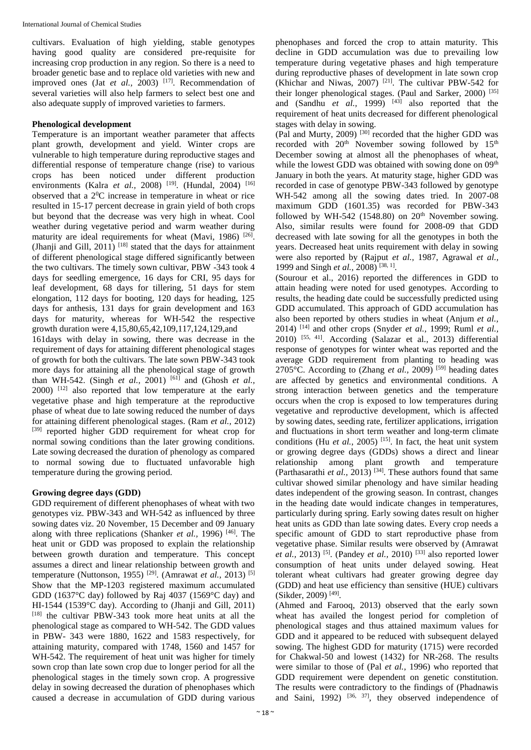cultivars. Evaluation of high yielding, stable genotypes having good quality are considered pre-requisite for increasing crop production in any region. So there is a need to broader genetic base and to replace old varieties with new and improved ones (Jat *et al.*, 2003)<sup>[17]</sup>. Recommendation of several varieties will also help farmers to select best one and also adequate supply of improved varieties to farmers.

#### **Phenological development**

Temperature is an important weather parameter that affects plant growth, development and yield. Winter crops are vulnerable to high temperature during reproductive stages and differential response of temperature change (rise) to various crops has been noticed under different production environments (Kalra *et al.*, 2008) <sup>[19]</sup>. (Hundal, 2004) <sup>[16]</sup> observed that a 2<sup>0</sup>C increase in temperature in wheat or rice resulted in 15-17 percent decrease in grain yield of both crops but beyond that the decrease was very high in wheat. Cool weather during vegetative period and warm weather during maturity are ideal requirements for wheat (Mavi, 1986)<sup>[26]</sup>. (Jhanji and Gill, 2011)<sup>[18]</sup> stated that the days for attainment of different phenological stage differed significantly between the two cultivars. The timely sown cultivar, PBW -343 took 4 days for seedling emergence, 16 days for CRI, 95 days for leaf development, 68 days for tillering, 51 days for stem elongation, 112 days for booting, 120 days for heading, 125 days for anthesis, 131 days for grain development and 163 days for maturity, whereas for WH-542 the respective growth duration were 4,15,80,65,42,109,117,124,129,and 161days with delay in sowing, there was decrease in the requirement of days for attaining different phenological stages of growth for both the cultivars. The late sown PBW-343 took more days for attaining all the phenological stage of growth than WH-542. (Singh *et al.,* 2001) [61] and (Ghosh *et al.,* 2000) <sup>[12]</sup> also reported that low temperature at the early vegetative phase and high temperature at the reproductive phase of wheat due to late sowing reduced the number of days for attaining different phenological stages. (Ram *et al.,* 2012) [39] reported higher GDD requirement for wheat crop for normal sowing conditions than the later growing conditions. Late sowing decreased the duration of phenology as compared to normal sowing due to fluctuated unfavorable high temperature during the growing period.

## **Growing degree days (GDD)**

GDD requirement of different phenophases of wheat with two genotypes viz. PBW-343 and WH-542 as influenced by three sowing dates viz. 20 November, 15 December and 09 January along with three replications (Shanker *et al.*, 1996)<sup>[46]</sup>. The heat unit or GDD was proposed to explain the relationship between growth duration and temperature. This concept assumes a direct and linear relationship between growth and temperature (Nuttonson, 1955) [29] . (Amrawat *et al.,* 2013) [5] Show that the MP-1203 registered maximum accumulated GDD (1637°C day) followed by Raj 4037 (1569°C day) and HI-1544 (1539°C day). According to (Jhanji and Gill, 2011) [18] the cultivar PBW-343 took more heat units at all the phenological stage as compared to WH-542. The GDD values in PBW- 343 were 1880, 1622 and 1583 respectively, for attaining maturity, compared with 1748, 1560 and 1457 for WH-542. The requirement of heat unit was higher for timely sown crop than late sown crop due to longer period for all the phenological stages in the timely sown crop. A progressive delay in sowing decreased the duration of phenophases which caused a decrease in accumulation of GDD during various

phenophases and forced the crop to attain maturity. This decline in GDD accumulation was due to prevailing low temperature during vegetative phases and high temperature during reproductive phases of development in late sown crop (Khichar and Niwas, 2007)<sup>[21]</sup>. The cultivar PBW-542 for their longer phenological stages. (Paul and Sarker, 2000) [35] and (Sandhu *et al.*, 1999) <sup>[43]</sup> also reported that the requirement of heat units decreased for different phenological stages with delay in sowing.

(Pal and Murty, 2009)<sup>[30]</sup> recorded that the higher GDD was recorded with  $20<sup>th</sup>$  November sowing followed by  $15<sup>th</sup>$ December sowing at almost all the phenophases of wheat, while the lowest GDD was obtained with sowing done on  $0.9<sup>th</sup>$ January in both the years. At maturity stage, higher GDD was recorded in case of genotype PBW-343 followed by genotype WH-542 among all the sowing dates tried. In 2007-08 maximum GDD (1601.35) was recorded for PBW-343 followed by WH-542 (1548.80) on  $20<sup>th</sup>$  November sowing. Also, similar results were found for 2008-09 that GDD decreased with late sowing for all the genotypes in both the years. Decreased heat units requirement with delay in sowing were also reported by (Rajput *et al.,* 1987, Agrawal *et al.,* 1999 and Singh *et al.*, 2008)<sup>[38, 1]</sup>.

(Sourour et al., 2016) reported the differences in GDD to attain heading were noted for used genotypes. According to results, the heading date could be successfully predicted using GDD accumulated. This approach of GDD accumulation has also been reported by others studies in wheat (Anjum *et al.,* 2014) [14] and other crops (Snyder *et al.,* 1999; Ruml *et al.,* 2010) [55, 41] . According (Salazar et al., 2013) differential response of genotypes for winter wheat was reported and the average GDD requirement from planting to heading was 2705 $\degree$ C. According to (Zhang *et al.*, 2009)<sup>[59]</sup> heading dates are affected by genetics and environmental conditions. A strong interaction between genetics and the temperature occurs when the crop is exposed to low temperatures during vegetative and reproductive development, which is affected by sowing dates, seeding rate, fertilizer applications, irrigation and fluctuations in short term weather and long-term climate conditions (Hu *et al.*, 2005)<sup>[15]</sup>. In fact, the heat unit system or growing degree days (GDDs) shows a direct and linear relationship among plant growth and temperature (Parthasarathi *et al.*, 2013)<sup>[34]</sup>. These authors found that same cultivar showed similar phenology and have similar heading dates independent of the growing season. In contrast, changes in the heading date would indicate changes in temperatures, particularly during spring. Early sowing dates result on higher heat units as GDD than late sowing dates. Every crop needs a specific amount of GDD to start reproductive phase from vegetative phase. Similar results were observed by (Amrawat *et al.*, 2013)<sup>[5]</sup>. (Pandey *et al.*, 2010)<sup>[33]</sup> also reported lower consumption of heat units under delayed sowing. Heat tolerant wheat cultivars had greater growing degree day (GDD) and heat use efficiency than sensitive (HUE) cultivars (Sikder, 2009)<sup>[49]</sup>.

(Ahmed and Farooq, 2013) observed that the early sown wheat has availed the longest period for completion of phenological stages and thus attained maximum values for GDD and it appeared to be reduced with subsequent delayed sowing. The highest GDD for maturity (1715) were recorded for Chakwal-50 and lowest (1432) for NR-268. The results were similar to those of (Pal *et al.,* 1996) who reported that GDD requirement were dependent on genetic constitution. The results were contradictory to the findings of (Phadnawis and Saini, 1992)  $[36, 37]$ , they observed independence of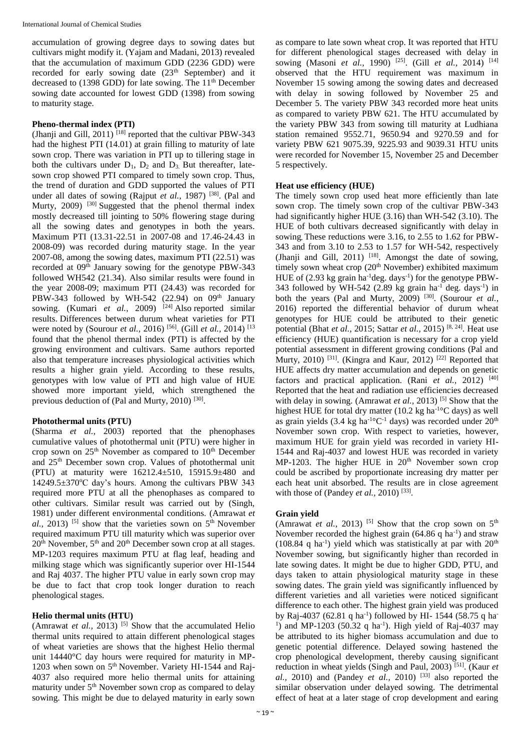accumulation of growing degree days to sowing dates but cultivars might modify it. (Yajam and Madani, 2013) revealed that the accumulation of maximum GDD (2236 GDD) were recorded for early sowing date (23<sup>th</sup> September) and it decreased to (1398 GDD) for late sowing. The 11<sup>th</sup> December sowing date accounted for lowest GDD (1398) from sowing to maturity stage.

#### **Pheno-thermal index (PTI)**

(Jhanji and Gill, 2011)<sup>[18]</sup> reported that the cultivar PBW-343 had the highest PTI (14.01) at grain filling to maturity of late sown crop. There was variation in PTI up to tillering stage in both the cultivars under  $D_1$ ,  $D_2$  and  $D_3$  But thereafter, latesown crop showed PTI compared to timely sown crop. Thus, the trend of duration and GDD supported the values of PTI under all dates of sowing (Rajput *et al.*, 1987)<sup>[38]</sup>. (Pal and Murty,  $2009$ ) <sup>[30]</sup> Suggested that the phenol thermal index mostly decreased till jointing to 50% flowering stage during all the sowing dates and genotypes in both the years. Maximum PTI (13.31-22.51 in 2007-08 and 17.46-24.43 in 2008-09) was recorded during maturity stage. In the year 2007-08, among the sowing dates, maximum PTI (22.51) was recorded at 09<sup>th</sup> January sowing for the genotype PBW-343 followed WH542 (21.34). Also similar results were found in the year 2008-09; maximum PTI (24.43) was recorded for PBW-343 followed by WH-542 (22.94) on  $09<sup>th</sup>$  January sowing. (Kumari *et al.*, 2009) <sup>[24]</sup> Also reported similar results. Differences between durum wheat varieties for PTI were noted by (Sourour *et al.*, 2016)<sup>[56]</sup>. (Gill *et al.*, 2014)<sup>[13</sup> found that the phenol thermal index (PTI) is affected by the growing environment and cultivars. Same authors reported also that temperature increases physiological activities which results a higher grain yield. According to these results, genotypes with low value of PTI and high value of HUE showed more important yield, which strengthened the previous deduction of (Pal and Murty, 2010)  $^{[30]}$ .

## **Photothermal units (PTU)**

(Sharma *et al.,* 2003) reported that the phenophases cumulative values of photothermal unit (PTU) were higher in crop sown on 25<sup>th</sup> November as compared to 10<sup>th</sup> December and 25th December sown crop. Values of photothermal unit (PTU) at maturity were 16212.4±510, 15915.9±480 and  $14249.5\pm370^{\circ}$ C day's hours. Among the cultivars PBW 343 required more PTU at all the phenophases as compared to other cultivars. Similar result was carried out by (Singh, 1981) under different environmental conditions. (Amrawat *et*   $al$ , 2013)<sup>[5]</sup> show that the varieties sown on  $5<sup>th</sup>$  November required maximum PTU till maturity which was superior over  $20<sup>th</sup>$  November,  $5<sup>th</sup>$  and  $20<sup>th</sup>$  December sown crop at all stages. MP-1203 requires maximum PTU at flag leaf, heading and milking stage which was significantly superior over HI-1544 and Raj 4037. The higher PTU value in early sown crop may be due to fact that crop took longer duration to reach phenological stages.

# **Helio thermal units (HTU)**

(Amrawat *et al.*, 2013) <sup>[5]</sup> Show that the accumulated Helio thermal units required to attain different phenological stages of wheat varieties are shows that the highest Helio thermal unit 14440°C day hours were required for maturity in MP-1203 when sown on 5<sup>th</sup> November. Variety HI-1544 and Raj-4037 also required more helio thermal units for attaining maturity under  $5<sup>th</sup>$  November sown crop as compared to delay sowing. This might be due to delayed maturity in early sown

as compare to late sown wheat crop. It was reported that HTU for different phenological stages decreased with delay in sowing (Masoni *et al.*, 1990)<sup>[25]</sup>. (Gill *et al.*, 2014)<sup>[14]</sup> observed that the HTU requirement was maximum in November 15 sowing among the sowing dates and decreased with delay in sowing followed by November 25 and December 5. The variety PBW 343 recorded more heat units as compared to variety PBW 621. The HTU accumulated by the variety PBW 343 from sowing till maturity at Ludhiana station remained 9552.71, 9650.94 and 9270.59 and for variety PBW 621 9075.39, 9225.93 and 9039.31 HTU units were recorded for November 15, November 25 and December 5 respectively.

## **Heat use efficiency (HUE)**

The timely sown crop used heat more efficiently than late sown crop. The timely sown crop of the cultivar PBW-343 had significantly higher HUE (3.16) than WH-542 (3.10). The HUE of both cultivars decreased significantly with delay in sowing**.** These reductions were 3.16, to 2.55 to 1.62 for PBW-343 and from 3.10 to 2.53 to 1.57 for WH-542, respectively (Jhanji and Gill,  $2011$ )  $[18]$ . Amongst the date of sowing, timely sown wheat crop  $(20<sup>th</sup>$  November) exhibited maximum HUE of  $(2.93 \text{ kg grain ha}^{-1}\text{deg. days}^{-1})$  for the genotype PBW-343 followed by WH-542 (2.89 kg grain ha<sup>-1</sup> deg. days<sup>-1</sup>) in both the years (Pal and Murty, 2009)<sup>[30]</sup>. (Sourour *et al.*, 2016) reported the differential behavior of durum wheat genotypes for HUE could be attributed to their genetic potential (Bhat *et al.,* 2015; Sattar *et al.,* 2015) [8, 24] . Heat use efficiency (HUE) quantification is necessary for a crop yield potential assessment in different growing conditions (Pal and Murty, 2010)<sup>[31]</sup>. (Kingra and Kaur, 2012)<sup>[22]</sup> Reported that HUE affects dry matter accumulation and depends on genetic factors and practical application. (Rani *et al.*, 2012)  $[40]$ Reported that the heat and radiation use efficiencies decreased with delay in sowing. (Amrawat *et al.*, 2013) <sup>[5]</sup> Show that the highest HUE for total dry matter (10.2 kg ha<sup>-1</sup>°C days) as well as grain yields  $(3.4 \text{ kg ha}^{-1} \text{°C}^{-1} \text{ days})$  was recorded under  $20^{\text{th}}$ November sown crop. With respect to varieties, however, maximum HUE for grain yield was recorded in variety HI-1544 and Raj-4037 and lowest HUE was recorded in variety  $MP-1203$ . The higher HUE in  $20<sup>th</sup>$  November sown crop could be ascribed by proportionate increasing dry matter per each heat unit absorbed. The results are in close agreement with those of (Pandey *et al.*, 2010)<sup>[33]</sup>.

## **Grain yield**

(Amrawat *et al.*, 2013)<sup>[5]</sup> Show that the crop sown on  $5<sup>th</sup>$ November recorded the highest grain  $(64.86 \text{ q ha}^{-1})$  and straw  $(108.84 \text{ q} \text{ ha}^{-1})$  yield which was statistically at par with  $20^{\text{th}}$ November sowing, but significantly higher than recorded in late sowing dates. It might be due to higher GDD, PTU, and days taken to attain physiological maturity stage in these sowing dates. The grain yield was significantly influenced by different varieties and all varieties were noticed significant difference to each other. The highest grain yield was produced by Raj-4037 (62.81 q ha<sup>-1</sup>) followed by HI- 1544 (58.75 q ha<sup>-1</sup>) <sup>1</sup>) and MP-1203 (50.32 q ha<sup>-1</sup>). High yield of Raj-4037 may be attributed to its higher biomass accumulation and due to genetic potential difference. Delayed sowing hastened the crop phenological development, thereby causing significant reduction in wheat yields (Singh and Paul, 2003) [51] . (Kaur *et al.,* 2010) and (Pandey *et al.,* 2010) [33] also reported the similar observation under delayed sowing. The detrimental effect of heat at a later stage of crop development and earing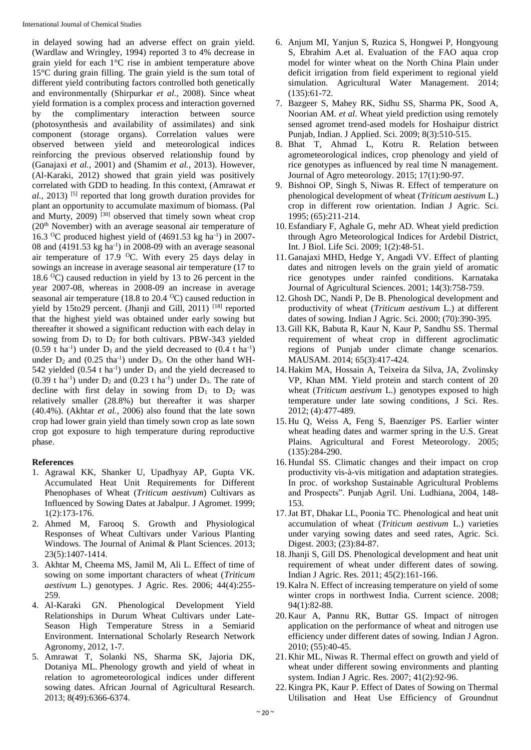in delayed sowing had an adverse effect on grain yield. (Wardlaw and Wringley, 1994) reported 3 to 4% decrease in grain yield for each 1°C rise in ambient temperature above 15°C during grain filling. The grain yield is the sum total of different yield contributing factors controlled both genetically and environmentally (Shirpurkar *et al.,* 2008). Since wheat yield formation is a complex process and interaction governed by the complimentary interaction between source (photosynthesis and availability of assimilates) and sink component (storage organs). Correlation values were observed between yield and meteorological indices reinforcing the previous observed relationship found by (Ganajaxi *et al.,* 2001) and (Shamim *et al.,* 2013). However, (Al-Karaki, 2012) showed that grain yield was positively correlated with GDD to heading. In this context, (Amrawat *et*  al., 2013)<sup>[5]</sup> reported that long growth duration provides for plant an opportunity to accumulate maximum of biomass. (Pal and Murty,  $2009$ )  $^{[30]}$  observed that timely sown wheat crop (20th November) with an average seasonal air temperature of 16.3 °C produced highest yield of  $(4691.53 \text{ kg ha}^{-1})$  in 2007-08 and  $(4191.53 \text{ kg} \text{ ha}^{-1})$  in 2008-09 with an average seasonal air temperature of 17.9  $^{\circ}$ C. With every 25 days delay in sowings an increase in average seasonal air temperature (17 to 18.6  $\overline{O}$  caused reduction in yield by 13 to 26 percent in the year 2007-08, whereas in 2008-09 an increase in average seasonal air temperature (18.8 to 20.4  $^{\circ}$ C) caused reduction in yield by 15to29 percent. (Jhanji and Gill, 2011) [18] reported that the highest yield was obtained under early sowing but thereafter it showed a significant reduction with each delay in sowing from  $D_1$  to  $D_2$  for both cultivars. PBW-343 yielded  $(0.59 \text{ t} \text{ ha}^{-1})$  under  $D_1$  and the yield decreased to  $(0.4 \text{ t} \text{ ha}^{-1})$ under  $D_2$  and (0.25 tha<sup>-1</sup>) under  $D_3$ . On the other hand WH-542 yielded  $(0.54 \text{ t} \text{ ha}^{-1})$  under  $D_1$  and the yield decreased to  $(0.39 \text{ t} \text{ ha}^{-1})$  under  $D_2$  and  $(0.23 \text{ t} \text{ ha}^{-1})$  under  $D_3$ . The rate of decline with first delay in sowing from  $D_1$  to  $D_2$  was relatively smaller (28.8%) but thereafter it was sharper (40.4%). (Akhtar *et al.,* 2006) also found that the late sown crop had lower grain yield than timely sown crop as late sown crop got exposure to high temperature during reproductive phase.

## **References**

- 1. Agrawal KK, Shanker U, Upadhyay AP, Gupta VK. Accumulated Heat Unit Requirements for Different Phenophases of Wheat (*Triticum aestivum*) Cultivars as Influenced by Sowing Dates at Jabalpur. J Agromet. 1999; 1(2):173-176.
- 2. Ahmed M, Farooq S. Growth and Physiological Responses of Wheat Cultivars under Various Planting Windows. The Journal of Animal & Plant Sciences. 2013; 23(5):1407-1414.
- 3. Akhtar M, Cheema MS, Jamil M, Ali L. Effect of time of sowing on some important characters of wheat (*Triticum aestivum* L.) genotypes. J Agric. Res. 2006; 44(4):255- 259.
- 4. Al-Karaki GN. Phenological Development Yield Relationships in Durum Wheat Cultivars under Late-Season High Temperature Stress in a Semiarid Environment. International Scholarly Research Network Agronomy, 2012, 1-7.
- 5. Amrawat T, Solanki NS, Sharma SK, Jajoria DK, Dotaniya ML. Phenology growth and yield of wheat in relation to agrometeorological indices under different sowing dates. African Journal of Agricultural Research. 2013; 8(49):6366-6374.
- 6. Anjum MI, Yanjun S, Ruzica S, Hongwei P, Hongyoung S, Ebrahim A.et al. Evaluation of the FAO aqua crop model for winter wheat on the North China Plain under deficit irrigation from field experiment to regional yield simulation. Agricultural Water Management. 2014; (135):61-72.
- 7. Bazgeer S, Mahey RK, Sidhu SS, Sharma PK, Sood A, Noorian AM*. et al*. Wheat yield prediction using remotely sensed agromet trend-ased models for Hoshaipur district Punjab, Indian. J Applied. Sci. 2009; 8(3):510-515.
- 8. Bhat T, Ahmad L, Kotru R. Relation between agrometeorological indices, crop phenology and yield of rice genotypes as influenced by real time N management. Journal of Agro meteorology. 2015; 17(1):90-97.
- 9. Bishnoi OP, Singh S, Niwas R. Effect of temperature on phenological development of wheat (*Triticum aestivum* L.) crop in different row orientation. Indian J Agric. Sci. 1995; (65):211-214.
- 10. Esfandiary F, Aghale G, mehr AD. Wheat yield prediction through Agro Meteorological Indices for Ardebil District, Int. J Biol. Life Sci. 2009; 1(2):48-51.
- 11. Ganajaxi MHD, Hedge Y, Angadi VV. Effect of planting dates and nitrogen levels on the grain yield of aromatic rice genotypes under rainfed conditions. Karnataka Journal of Agricultural Sciences. 2001; 14(3):758-759.
- 12. Ghosh DC, Nandi P, De B. Phenological development and productivity of wheat (*Triticum aestivum* L.) at different dates of sowing. Indian J Agric. Sci. 2000; (70):390-395.
- 13. Gill KK, Babuta R, Kaur N, Kaur P, Sandhu SS. Thermal requirement of wheat crop in different agroclimatic regions of Punjab under climate change scenarios. MAUSAM. 2014; 65(3):417-424.
- 14. Hakim MA, Hossain A, Teixeira da Silva, JA, Zvolinsky VP, Khan MM. Yield protein and starch content of 20 wheat (*Triticum aestivum* L.) genotypes exposed to high temperature under late sowing conditions, J Sci. Res. 2012; (4):477-489.
- 15. Hu Q, Weiss A, Feng S, Baenziger PS. Earlier winter wheat heading dates and warmer spring in the U.S. Great Plains. Agricultural and Forest Meteorology. 2005; (135):284-290.
- 16. Hundal SS. Climatic changes and their impact on crop productivity vis-à-vis mitigation and adaptation strategies. In proc. of workshop Sustainable Agricultural Problems and Prospects". Punjab Agril. Uni. Ludhiana, 2004, 148- 153.
- 17.Jat BT, Dhakar LL, Poonia TC. Phenological and heat unit accumulation of wheat (*Triticum aestivum* L.) varieties under varying sowing dates and seed rates, Agric. Sci. Digest*.* 2003; (23):84-87.
- 18.Jhanji S, Gill DS. Phenological development and heat unit requirement of wheat under different dates of sowing. Indian J Agric. Res*.* 2011; 45(2):161-166.
- 19. Kalra N. Effect of increasing temperature on yield of some winter crops in northwest India. Current science. 2008; 94(1):82-88.
- 20. Kaur A, Pannu RK, Buttar GS. Impact of nitrogen application on the performance of wheat and nitrogen use efficiency under different dates of sowing. Indian J Agron. 2010; (55):40-45.
- 21. Khir ML, Niwas R. Thermal effect on growth and yield of wheat under different sowing environments and planting system. Indian J Agric. Res. 2007; 41(2):92-96.
- 22. Kingra PK, Kaur P. Effect of Dates of Sowing on Thermal Utilisation and Heat Use Efficiency of Groundnut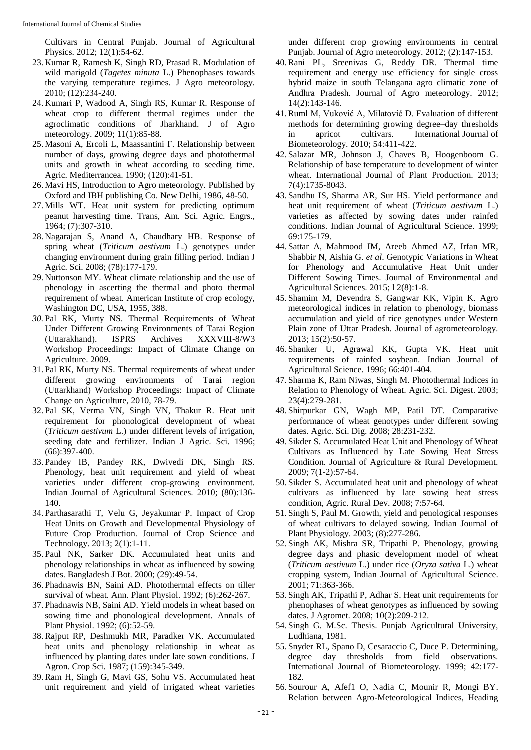Cultivars in Central Punjab. Journal of Agricultural Physics. 2012; 12(1):54-62.

- 23. Kumar R, Ramesh K, Singh RD, Prasad R. Modulation of wild marigold (*Tagetes minuta* L.) Phenophases towards the varying temperature regimes. J Agro meteorology. 2010; (12):234-240.
- 24. Kumari P, Wadood A, Singh RS, Kumar R. Response of wheat crop to different thermal regimes under the agroclimatic conditions of Jharkhand. J of Agro meteorology. 2009; 11(1):85-88.
- 25. Masoni A, Ercoli L, Maassantini F. Relationship between number of days, growing degree days and photothermal units and growth in wheat according to seeding time. Agric. Mediterrancea. 1990; (120):41-51.
- 26. Mavi HS, Introduction to Agro meteorology. Published by Oxford and IBH publishing Co. New Delhi, 1986, 48-50.
- 27. Mills WT. Heat unit system for predicting optimum peanut harvesting time. Trans, Am. Sci. Agric. Engrs., 1964; (7):307-310.
- 28. Nagarajan S, Anand A, Chaudhary HB. Response of spring wheat (*Triticum aestivum* L.) genotypes under changing environment during grain filling period. Indian J Agric. Sci. 2008; (78):177-179.
- 29. Nuttonson MY. Wheat climate relationship and the use of phenology in ascerting the thermal and photo thermal requirement of wheat. American Institute of crop ecology, Washington DC, USA, 1955, 388.
- *30.* Pal RK, Murty NS. Thermal Requirements of Wheat Under Different Growing Environments of Tarai Region (Uttarakhand). ISPRS Archives XXXVIII-8/W3 Workshop Proceedings: Impact of Climate Change on Agriculture. 2009.
- 31. Pal RK, Murty NS. Thermal requirements of wheat under different growing environments of Tarai region (Uttarkhand) Workshop Proceedings: Impact of Climate Change on Agriculture, 2010, 78-79.
- 32. Pal SK, Verma VN, Singh VN, Thakur R. Heat unit requirement for phonological development of wheat (*Triticum aestivum* L.) under different levels of irrigation, seeding date and fertilizer. Indian J Agric. Sci. 1996; (66):397-400.
- 33. Pandey IB, Pandey RK, Dwivedi DK, Singh RS. Phenology, heat unit requirement and yield of wheat varieties under different crop-growing environment. Indian Journal of Agricultural Sciences. 2010; (80):136- 140.
- 34. Parthasarathi T, Velu G, Jeyakumar P. Impact of Crop Heat Units on Growth and Developmental Physiology of Future Crop Production. Journal of Crop Science and Technology. 2013; 2(1):1-11.
- 35. Paul NK, Sarker DK. Accumulated heat units and phenology relationships in wheat as influenced by sowing dates. Bangladesh J Bot. 2000; (29):49-54.
- 36. Phadnawis BN, Saini AD. Photothermal effects on tiller survival of wheat. Ann. Plant Physiol. 1992; (6):262-267.
- 37. Phadnawis NB, Saini AD. Yield models in wheat based on sowing time and phonological development. Annals of Plant Physiol. 1992; (6):52-59.
- 38.Rajput RP, Deshmukh MR, Paradker VK. Accumulated heat units and phenology relationship in wheat as influenced by planting dates under late sown conditions. J Agron. Crop Sci. 1987; (159):345-349.
- 39.Ram H, Singh G, Mavi GS, Sohu VS. Accumulated heat unit requirement and yield of irrigated wheat varieties

under different crop growing environments in central Punjab. Journal of Agro meteorology. 2012; (2):147-153.

- 40.Rani PL, Sreenivas G, Reddy DR. Thermal time requirement and energy use efficiency for single cross hybrid maize in south Telangana agro climatic zone of Andhra Pradesh. Journal of Agro meteorology. 2012; 14(2):143-146.
- 41.Ruml M, Vuković A, Milatović D. Evaluation of different methods for determining growing degree–day thresholds in apricot cultivars. International Journal of Biometeorology. 2010; 54:411-422.
- 42. Salazar MR, Johnson J, Chaves B, Hoogenboom G. Relationship of base temperature to development of winter wheat. International Journal of Plant Production. 2013; 7(4):1735-8043.
- 43. Sandhu IS, Sharma AR, Sur HS. Yield performance and heat unit requirement of wheat (*Triticum aestivum* L.) varieties as affected by sowing dates under rainfed conditions. Indian Journal of Agricultural Science. 1999; 69:175-179.
- 44. Sattar A, Mahmood IM, Areeb Ahmed AZ, Irfan MR, Shabbir N, Aishia G. *et al*. Genotypic Variations in Wheat for Phenology and Accumulative Heat Unit under Different Sowing Times. Journal of Environmental and Agricultural Sciences. 2015; l 2(8):1-8.
- 45. Shamim M, Devendra S, Gangwar KK, Vipin K. Agro meteorological indices in relation to phenology, biomass accumulation and yield of rice genotypes under Western Plain zone of Uttar Pradesh. Journal of agrometeorology. 2013; 15(2):50-57.
- 46. Shanker U, Agrawal KK, Gupta VK. Heat unit requirements of rainfed soybean. Indian Journal of Agricultural Science. 1996; 66:401-404.
- 47. Sharma K, Ram Niwas, Singh M. Photothermal Indices in Relation to Phenology of Wheat. Agric. Sci. Digest. 2003; 23(4):279-281.
- 48. Shirpurkar GN, Wagh MP, Patil DT. Comparative performance of wheat genotypes under different sowing dates. Agric. Sci. Dig. 2008; 28:231-232.
- 49. Sikder S. Accumulated Heat Unit and Phenology of Wheat Cultivars as Influenced by Late Sowing Heat Stress Condition. Journal of Agriculture & Rural Development. 2009; 7(1-2):57-64.
- 50. Sikder S. Accumulated heat unit and phenology of wheat cultivars as influenced by late sowing heat stress condition, Agric. Rural Dev. 2008; 7:57-64.
- 51. Singh S, Paul M. Growth, yield and penological responses of wheat cultivars to delayed sowing. Indian Journal of Plant Physiology. 2003; (8):277-286.
- 52. Singh AK, Mishra SR, Tripathi P. Phenology, growing degree days and phasic development model of wheat (*Triticum aestivum* L.) under rice (*Oryza sativa* L.) wheat cropping system, Indian Journal of Agricultural Science. 2001; 71:363-366.
- 53. Singh AK, Tripathi P, Adhar S. Heat unit requirements for phenophases of wheat genotypes as influenced by sowing dates. J Agromet. 2008; 10(2):209-212.
- 54. Singh G. M.Sc. Thesis. Punjab Agricultural University, Ludhiana, 1981.
- 55. Snyder RL, Spano D, Cesaraccio C, Duce P. Determining, degree day thresholds from field observations. International Journal of Biometeorology. 1999; 42:177- 182.
- 56. Sourour A, Afef1 O, Nadia C, Mounir R, Mongi BY. Relation between Agro-Meteorological Indices, Heading